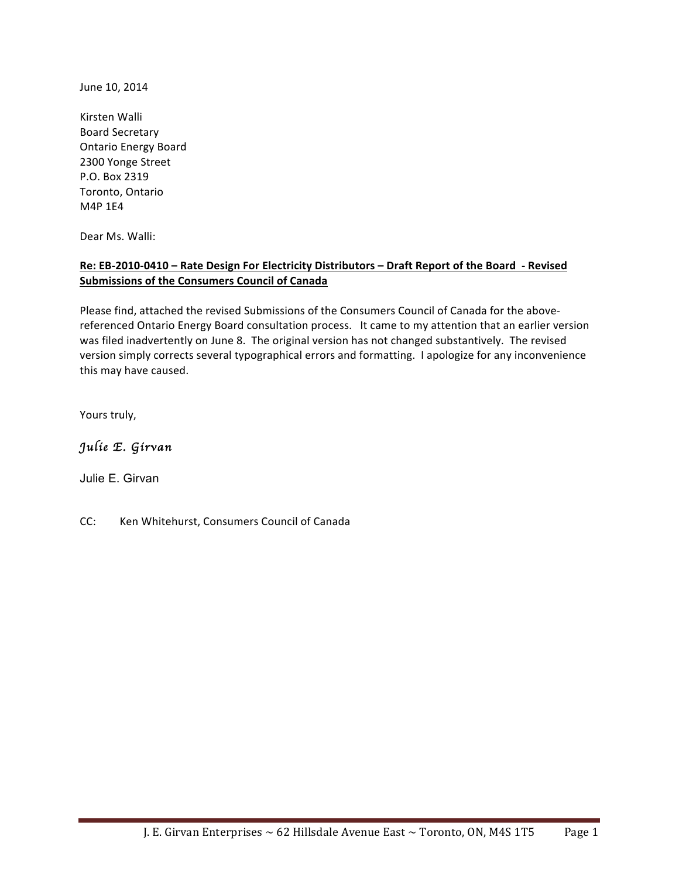June 10, 2014

Kirsten Walli Board Secretary Ontario Energy Board 2300 Yonge Street P.O.!Box!2319 Toronto, Ontario M4P 1E4

Dear Ms. Walli:

#### **Re: EB-2010-0410 – Rate Design For Electricity Distributors – Draft Report of the Board - Revised Submissions of the Consumers Council of Canada**

Please find, attached the revised Submissions of the Consumers Council of Canada for the abovereferenced Ontario Energy Board consultation process. It came to my attention that an earlier version was filed inadvertently on June 8. The original version has not changed substantively. The revised version simply corrects several typographical errors and formatting. I apologize for any inconvenience this may have caused.

Yours truly,

## *Julie E. Girvan*

Julie E. Girvan

CC: Ken Whitehurst, Consumers Council of Canada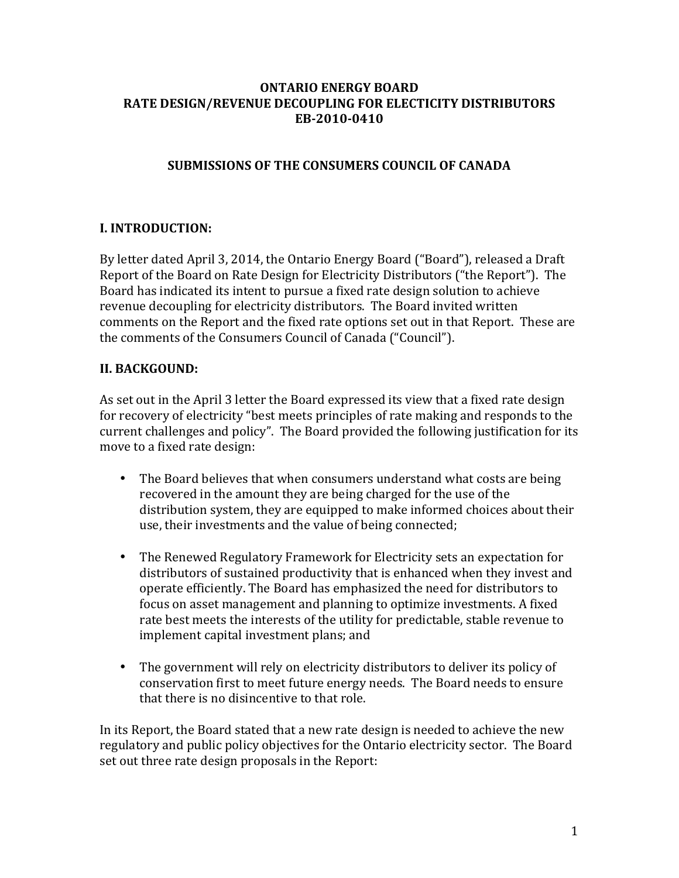#### **ONTARIO'ENERGY'BOARD RATE'DESIGN/REVENUE'DECOUPLING FOR'ELECTICITY'DISTRIBUTORS' EB5201050410**

# **SUBMISSIONS'OF'THE'CONSUMERS'COUNCIL'OF'CANADA**

# **I.'INTRODUCTION:**

By letter dated April 3, 2014, the Ontario Energy Board ("Board"), released a Draft Report of the Board on Rate Design for Electricity Distributors ("the Report"). The Board has indicated its intent to pursue a fixed rate design solution to achieve revenue decoupling for electricity distributors. The Board invited written comments on the Report and the fixed rate options set out in that Report. These are the comments of the Consumers Council of Canada ("Council").

#### **II. BACKGOUND:**

As set out in the April 3 letter the Board expressed its view that a fixed rate design for recovery of electricity "best meets principles of rate making and responds to the current challenges and policy". The Board provided the following justification for its move to a fixed rate design:

- The Board believes that when consumers understand what costs are being recovered in the amount they are being charged for the use of the distribution system, they are equipped to make informed choices about their use, their investments and the value of being connected;
- The Renewed Regulatory Framework for Electricity sets an expectation for distributors of sustained productivity that is enhanced when they invest and operate efficiently. The Board has emphasized the need for distributors to focus on asset management and planning to optimize investments. A fixed rate best meets the interests of the utility for predictable, stable revenue to implement capital investment plans; and
- The government will rely on electricity distributors to deliver its policy of conservation first to meet future energy needs. The Board needs to ensure that there is no disincentive to that role.

In its Report, the Board stated that a new rate design is needed to achieve the new regulatory and public policy objectives for the Ontario electricity sector. The Board set out three rate design proposals in the Report: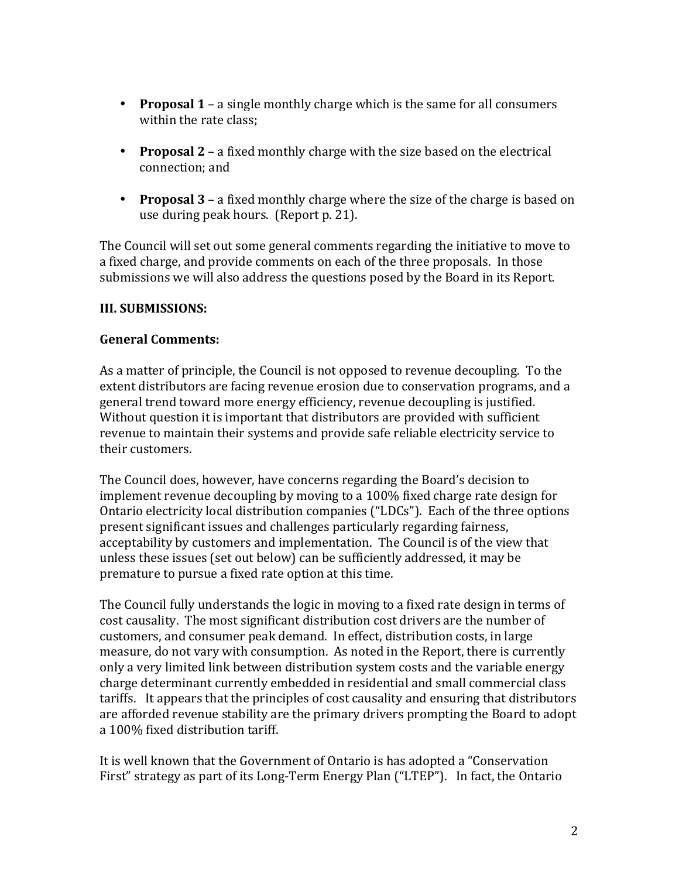- **Proposal 1** a single monthly charge which is the same for all consumers within the rate class:
- **Proposal 2** a fixed monthly charge with the size based on the electrical connection; and
- **Proposal 3** a fixed monthly charge where the size of the charge is based on use during peak hours. (Report p. 21).

The Council will set out some general comments regarding the initiative to move to a fixed charge, and provide comments on each of the three proposals. In those submissions we will also address the questions posed by the Board in its Report.

### **III. SUBMISSIONS:**

#### **General'Comments:**

As a matter of principle, the Council is not opposed to revenue decoupling. To the extent distributors are facing revenue erosion due to conservation programs, and a general trend toward more energy efficiency, revenue decoupling is justified. Without question it is important that distributors are provided with sufficient revenue to maintain their systems and provide safe reliable electricity service to their customers.!!

The Council does, however, have concerns regarding the Board's decision to implement revenue decoupling by moving to a 100% fixed charge rate design for Ontario electricity local distribution companies ("LDCs"). Each of the three options present significant issues and challenges particularly regarding fairness, acceptability by customers and implementation. The Council is of the view that unless these issues (set out below) can be sufficiently addressed, it may be premature to pursue a fixed rate option at this time.

The Council fully understands the logic in moving to a fixed rate design in terms of cost causality. The most significant distribution cost drivers are the number of customers, and consumer peak demand. In effect, distribution costs, in large measure, do not vary with consumption. As noted in the Report, there is currently only a very limited link between distribution system costs and the variable energy charge determinant currently embedded in residential and small commercial class tariffs. It appears that the principles of cost causality and ensuring that distributors are afforded revenue stability are the primary drivers prompting the Board to adopt a 100% fixed distribution tariff.

It is well known that the Government of Ontario is has adopted a "Conservation" First" strategy as part of its Long-Term Energy Plan ("LTEP"). In fact, the Ontario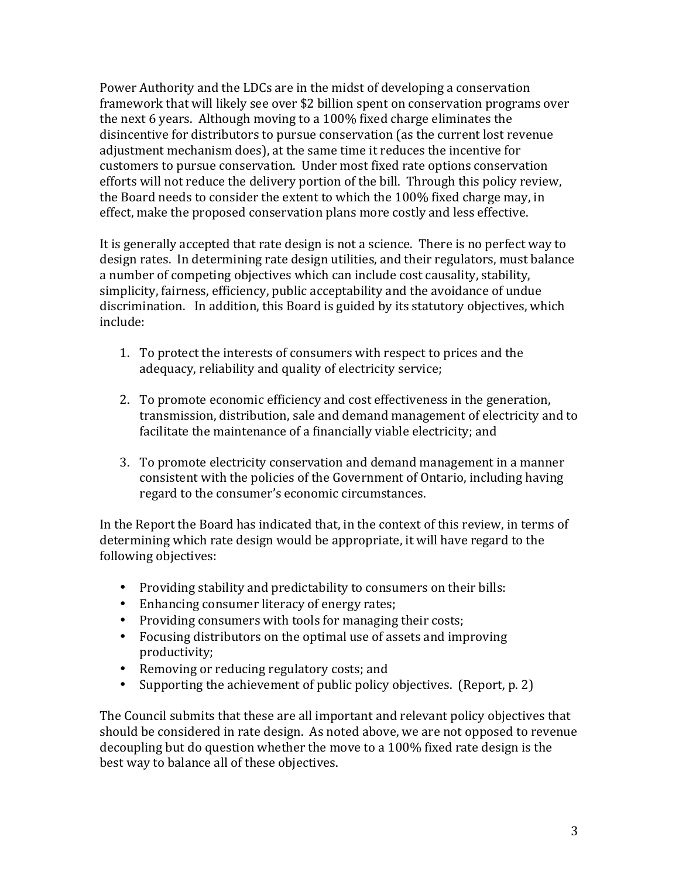Power Authority and the LDCs are in the midst of developing a conservation framework that will likely see over \$2 billion spent on conservation programs over the next 6 years. Although moving to a  $100\%$  fixed charge eliminates the disincentive for distributors to pursue conservation (as the current lost revenue adjustment mechanism does), at the same time it reduces the incentive for customers to pursue conservation. Under most fixed rate options conservation efforts will not reduce the delivery portion of the bill. Through this policy review, the Board needs to consider the extent to which the 100% fixed charge may, in effect, make the proposed conservation plans more costly and less effective.

It is generally accepted that rate design is not a science. There is no perfect way to design rates. In determining rate design utilities, and their regulators, must balance a number of competing objectives which can include cost causality, stability, simplicity, fairness, efficiency, public acceptability and the avoidance of undue discrimination. In addition, this Board is guided by its statutory objectives, which include:

- 1. To protect the interests of consumers with respect to prices and the adequacy, reliability and quality of electricity service;
- 2. To promote economic efficiency and cost effectiveness in the generation, transmission, distribution, sale and demand management of electricity and to facilitate the maintenance of a financially viable electricity; and
- 3. To promote electricity conservation and demand management in a manner consistent with the policies of the Government of Ontario, including having regard to the consumer's economic circumstances.

In the Report the Board has indicated that, in the context of this review, in terms of determining which rate design would be appropriate, it will have regard to the following objectives:

- Providing stability and predictability to consumers on their bills:
- Enhancing consumer literacy of energy rates;
- Providing consumers with tools for managing their costs;
- Focusing distributors on the optimal use of assets and improving productivity;
- Removing or reducing regulatory costs; and
- Supporting the achievement of public policy objectives. (Report, p. 2)

The Council submits that these are all important and relevant policy objectives that should be considered in rate design. As noted above, we are not opposed to revenue decoupling but do question whether the move to a 100% fixed rate design is the best way to balance all of these objectives.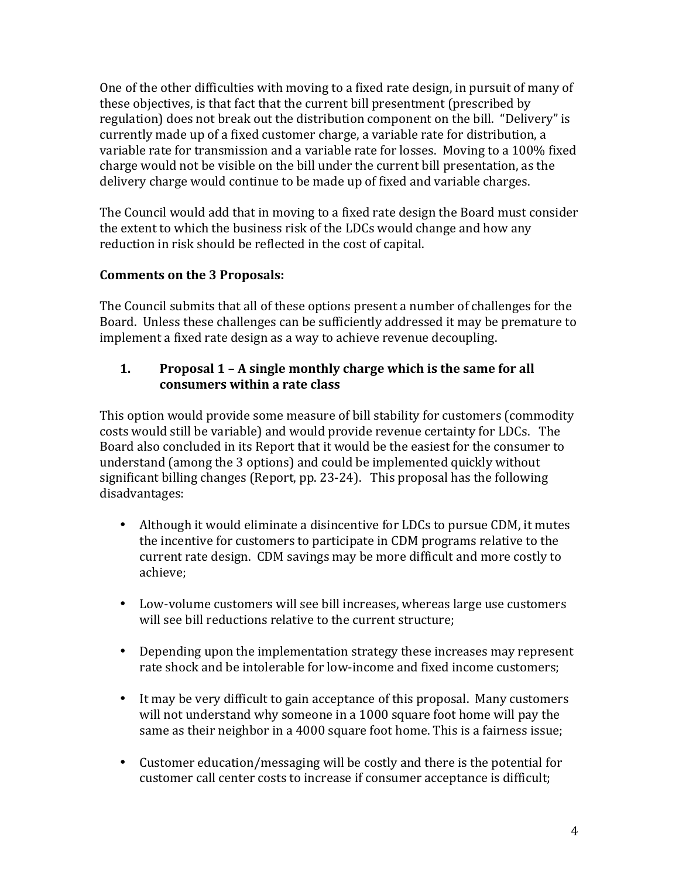One of the other difficulties with moving to a fixed rate design, in pursuit of many of these objectives, is that fact that the current bill presentment (prescribed by regulation) does not break out the distribution component on the bill. "Delivery" is currently made up of a fixed customer charge, a variable rate for distribution, a variable rate for transmission and a variable rate for losses. Moving to a 100% fixed charge would not be visible on the bill under the current bill presentation, as the delivery charge would continue to be made up of fixed and variable charges.

The Council would add that in moving to a fixed rate design the Board must consider the extent to which the business risk of the LDCs would change and how any reduction in risk should be reflected in the cost of capital.

# **Comments'on'the'3'Proposals:**

The Council submits that all of these options present a number of challenges for the Board. Unless these challenges can be sufficiently addressed it may be premature to implement a fixed rate design as a way to achieve revenue decoupling.

# 1. **Proposal 1 - A single monthly charge which is the same for all** consumers within a rate class

This option would provide some measure of bill stability for customers (commodity costs would still be variable) and would provide revenue certainty for LDCs. The Board also concluded in its Report that it would be the easiest for the consumer to understand (among the 3 options) and could be implemented quickly without significant billing changes (Report, pp. 23-24). This proposal has the following disadvantages:

- Although it would eliminate a disincentive for LDCs to pursue CDM, it mutes the incentive for customers to participate in CDM programs relative to the current rate design. CDM savings may be more difficult and more costly to achieve;
- Low-volume customers will see bill increases, whereas large use customers will see bill reductions relative to the current structure;
- Depending upon the implementation strategy these increases may represent rate shock and be intolerable for low-income and fixed income customers:
- It may be very difficult to gain acceptance of this proposal. Many customers will not understand why someone in a 1000 square foot home will pay the same as their neighbor in a 4000 square foot home. This is a fairness issue;
- Customer education/messaging will be costly and there is the potential for customer call center costs to increase if consumer acceptance is difficult;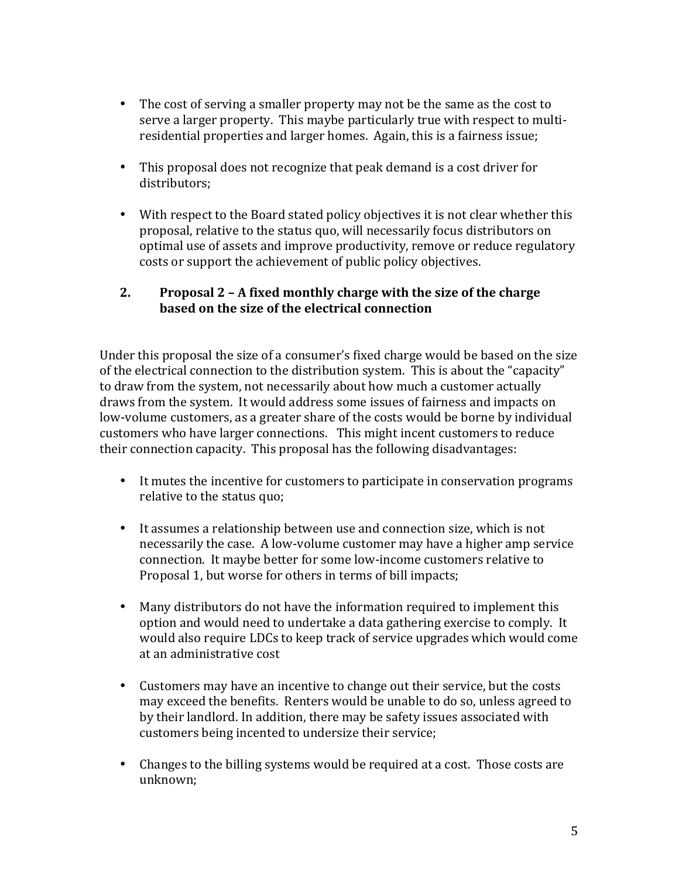- The cost of serving a smaller property may not be the same as the cost to  $\cdot$ serve a larger property. This maybe particularly true with respect to multiresidential properties and larger homes. Again, this is a fairness issue;
- This proposal does not recognize that peak demand is a cost driver for distributors;
- With respect to the Board stated policy objectives it is not clear whether this proposal, relative to the status quo, will necessarily focus distributors on optimal use of assets and improve productivity, remove or reduce regulatory costs or support the achievement of public policy objectives.

## **2. Proposal'2'– A'fixed'monthly'charge'with'the'size'of'the'charge' based'on'the'size'of'the'electrical'connection**

Under this proposal the size of a consumer's fixed charge would be based on the size of the electrical connection to the distribution system. This is about the "capacity" to draw from the system, not necessarily about how much a customer actually draws from the system. It would address some issues of fairness and impacts on low-volume customers, as a greater share of the costs would be borne by individual customers who have larger connections. This might incent customers to reduce their connection capacity. This proposal has the following disadvantages:

- It mutes the incentive for customers to participate in conservation programs relative to the status quo;
- It assumes a relationship between use and connection size, which is not necessarily the case. A low-volume customer may have a higher amp service connection. It maybe better for some low-income customers relative to Proposal 1, but worse for others in terms of bill impacts;
- Many distributors do not have the information required to implement this option and would need to undertake a data gathering exercise to comply. It would also require LDCs to keep track of service upgrades which would come at an administrative cost
- Customers may have an incentive to change out their service, but the costs may exceed the benefits. Renters would be unable to do so, unless agreed to by their landlord. In addition, there may be safety issues associated with customers being incented to undersize their service;
- Changes to the billing systems would be required at a cost. Those costs are unknown;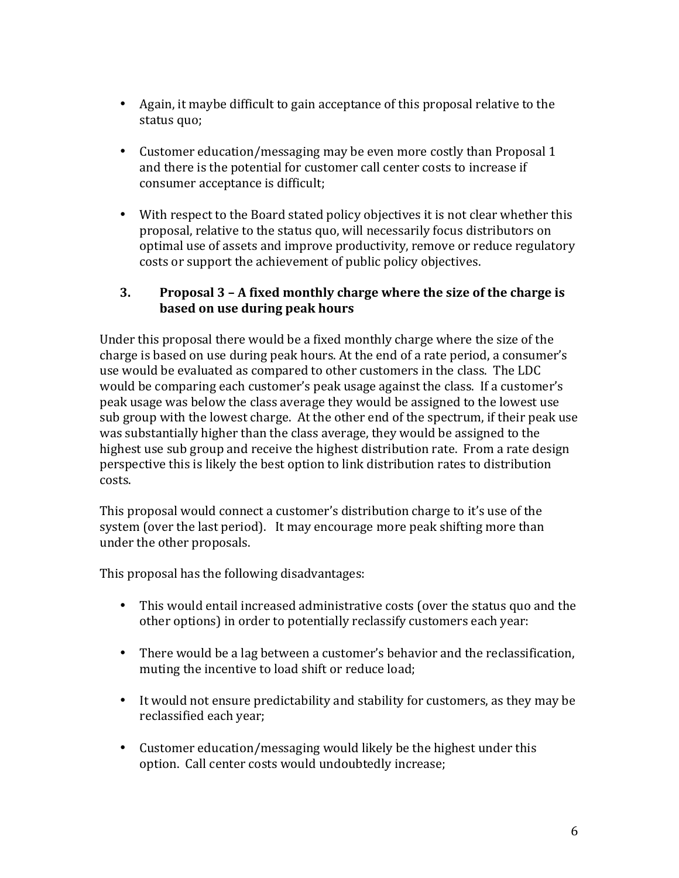- Again, it maybe difficult to gain acceptance of this proposal relative to the status quo;
- Customer education/messaging may be even more costly than Proposal 1 and there is the potential for customer call center costs to increase if consumer acceptance is difficult;
- With respect to the Board stated policy objectives it is not clear whether this proposal, relative to the status quo, will necessarily focus distributors on optimal use of assets and improve productivity, remove or reduce regulatory costs or support the achievement of public policy objectives.

### **3. Proposal'3'– A'fixed'monthly'charge'where'the'size'of'the'charge'is' based'on'use'during'peak'hours**

Under this proposal there would be a fixed monthly charge where the size of the charge is based on use during peak hours. At the end of a rate period, a consumer's use would be evaluated as compared to other customers in the class. The LDC would be comparing each customer's peak usage against the class. If a customer's peak usage was below the class average they would be assigned to the lowest use sub group with the lowest charge. At the other end of the spectrum, if their peak use was substantially higher than the class average, they would be assigned to the highest use sub group and receive the highest distribution rate. From a rate design perspective this is likely the best option to link distribution rates to distribution costs.

This proposal would connect a customer's distribution charge to it's use of the system (over the last period). It may encourage more peak shifting more than under the other proposals.

This proposal has the following disadvantages:

- This would entail increased administrative costs (over the status quo and the other options) in order to potentially reclassify customers each year:
- There would be a lag between a customer's behavior and the reclassification, muting the incentive to load shift or reduce load;
- It would not ensure predictability and stability for customers, as they may be reclassified each year;
- Customer education/messaging would likely be the highest under this option. Call center costs would undoubtedly increase;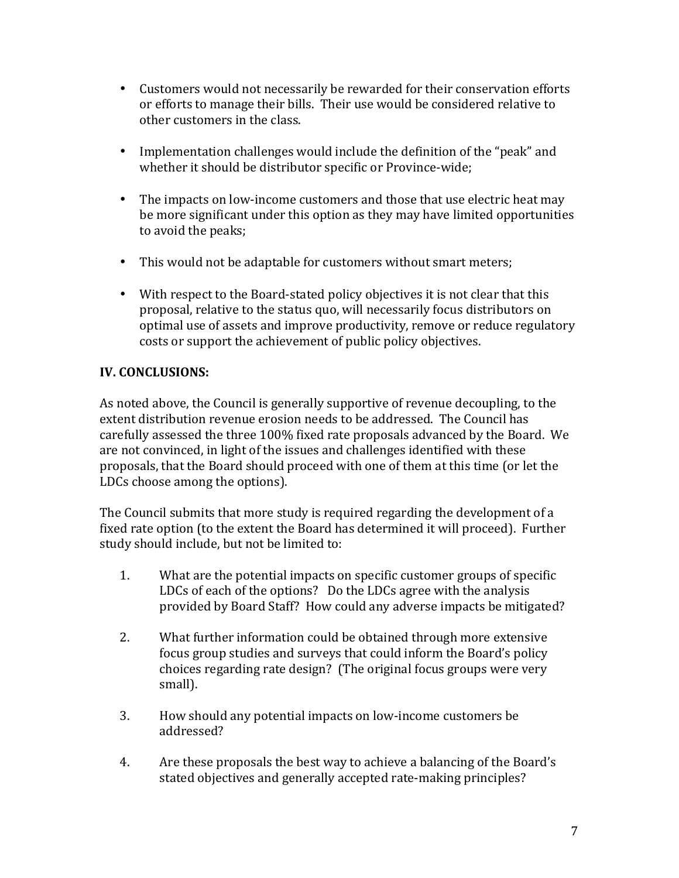- Customers would not necessarily be rewarded for their conservation efforts or efforts to manage their bills. Their use would be considered relative to other customers in the class.
- Implementation challenges would include the definition of the "peak" and whether it should be distributor specific or Province-wide;
- The impacts on low-income customers and those that use electric heat may be more significant under this option as they may have limited opportunities to avoid the peaks;
- This would not be adaptable for customers without smart meters;
- With respect to the Board-stated policy objectives it is not clear that this proposal, relative to the status quo, will necessarily focus distributors on optimal use of assets and improve productivity, remove or reduce regulatory costs or support the achievement of public policy objectives.

# **IV. CONCLUSIONS:**

As noted above, the Council is generally supportive of revenue decoupling, to the extent distribution revenue erosion needs to be addressed. The Council has carefully assessed the three 100% fixed rate proposals advanced by the Board. We are not convinced, in light of the issues and challenges identified with these proposals, that the Board should proceed with one of them at this time (or let the LDCs choose among the options).

The Council submits that more study is required regarding the development of a fixed rate option (to the extent the Board has determined it will proceed). Further study should include, but not be limited to:

- 1. What are the potential impacts on specific customer groups of specific LDCs of each of the options? Do the LDCs agree with the analysis provided by Board Staff? How could any adverse impacts be mitigated?
- 2. What further information could be obtained through more extensive focus group studies and surveys that could inform the Board's policy choices regarding rate design? (The original focus groups were very small).
- 3. How should any potential impacts on low-income customers be addressed?
- 4. Are these proposals the best way to achieve a balancing of the Board's stated objectives and generally accepted rate-making principles?